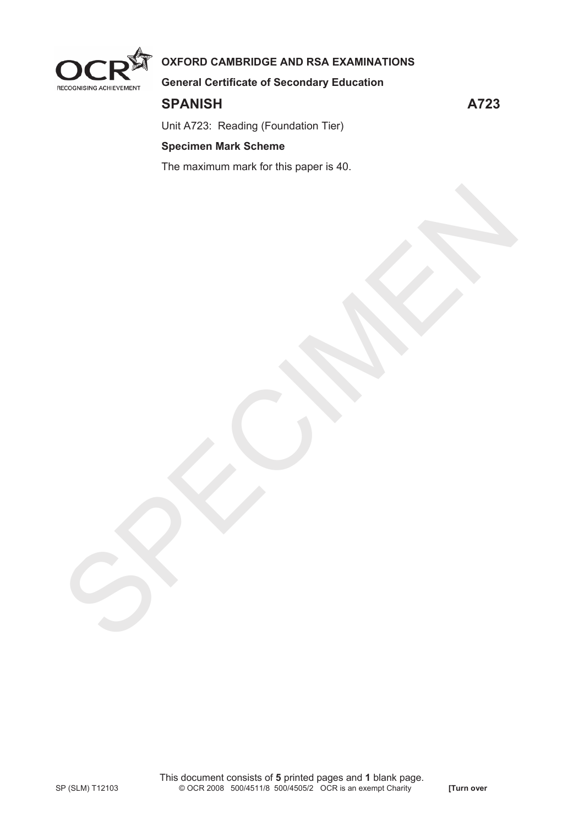

# **OXFORD CAMBRIDGE AND RSA EXAMINATIONS**

**General Certificate of Secondary Education** 

# **SPANISH A723**

Unit A723: Reading (Foundation Tier)

### **Specimen Mark Scheme**

The maximum mark for this paper is 40.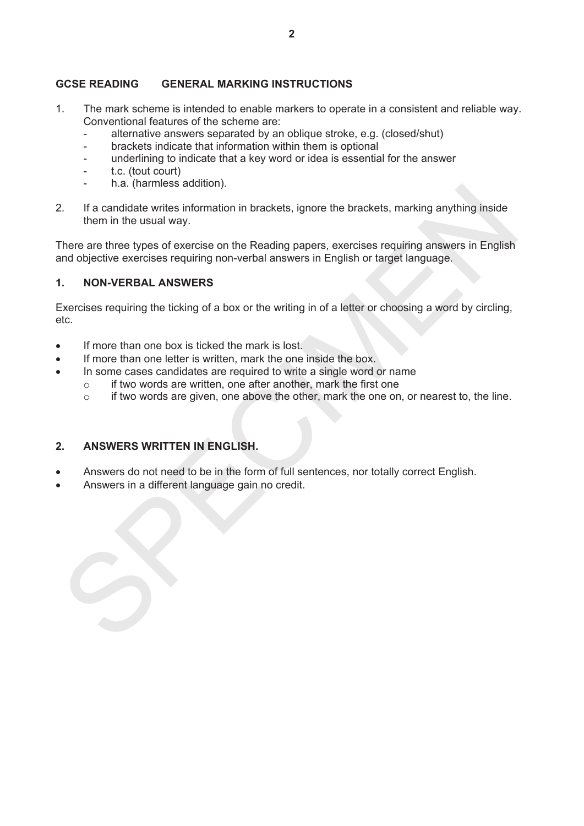#### **GCSE READING GENERAL MARKING INSTRUCTIONS**

- 1. The mark scheme is intended to enable markers to operate in a consistent and reliable way. Conventional features of the scheme are:
	- alternative answers separated by an oblique stroke, e.g. (closed/shut)
	- brackets indicate that information within them is optional
	- underlining to indicate that a key word or idea is essential for the answer
	- t.c. (tout court)
	- h.a. (harmless addition).
- 2. If a candidate writes information in brackets, ignore the brackets, marking anything inside them in the usual way.

There are three types of exercise on the Reading papers, exercises requiring answers in English and objective exercises requiring non-verbal answers in English or target language.

### **1. NON-VERBAL ANSWERS**

Exercises requiring the ticking of a box or the writing in of a letter or choosing a word by circling, etc.

- If more than one box is ticked the mark is lost.
- If more than one letter is written, mark the one inside the box.
- In some cases candidates are required to write a single word or name
	- $\circ$  if two words are written, one after another, mark the first one
	- o if two words are given, one above the other, mark the one on, or nearest to, the line.

#### **2. ANSWERS WRITTEN IN ENGLISH.**

- Answers do not need to be in the form of full sentences, nor totally correct English.
- Answers in a different language gain no credit.

The conditions activative is individual with the unit of the brackets, marking anything inside<br>
There are three spess of exercises on the Reading papers, exercises requiring answers in English<br>
There are three special pape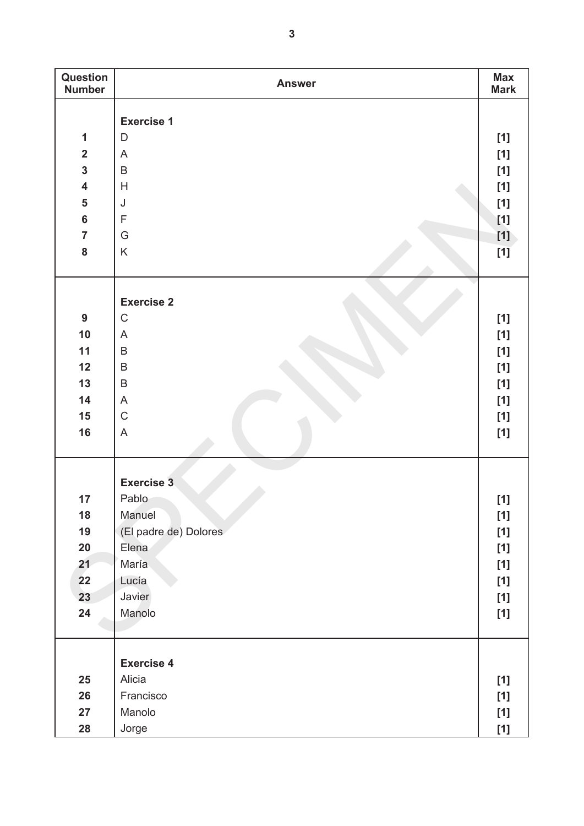| Question<br><b>Number</b> | <b>Answer</b>         | <b>Max</b><br><b>Mark</b> |
|---------------------------|-----------------------|---------------------------|
|                           |                       |                           |
|                           | <b>Exercise 1</b>     |                           |
| 1                         | D                     | $[1]$                     |
| $\overline{\mathbf{2}}$   | A                     | $[1]$                     |
| $\mathbf{3}$              | $\sf B$               | $[1]$                     |
| $\overline{\mathbf{4}}$   | H                     | $[1]$                     |
| $\overline{\mathbf{5}}$   | J                     | $[1]$                     |
| $\bf 6$                   | $\mathsf F$           | $[1]$                     |
| $\overline{7}$            | G                     | $[1]$                     |
| ${\bf 8}$                 | $\sf K$               | [1]                       |
|                           |                       |                           |
|                           | <b>Exercise 2</b>     |                           |
| 9                         | $\mathsf C$           | $[1]$                     |
| 10                        | A                     | $[1]$                     |
| 11                        | $\sf B$               | $[1]$                     |
| 12                        | $\sf B$               | $[1]$                     |
| 13                        | $\sf B$               | $[1]$                     |
| 14                        | A                     | $[1]$                     |
| 15                        | $\mathsf C$           | $[1]$                     |
| 16                        | A                     | $[1]$                     |
|                           |                       |                           |
|                           | <b>Exercise 3</b>     |                           |
| 17                        | Pablo                 | $[1]$                     |
| 18                        | Manuel                | $[1]$                     |
| 19                        | (El padre de) Dolores | $[1]$                     |
| 20                        | Elena                 | $[1]$                     |
| 21                        | María                 | $[1]$                     |
| 22                        | Lucía                 | $[1]$                     |
| 23                        | Javier                | $[1]$                     |
| 24                        | Manolo                | $[1]$                     |
|                           |                       |                           |
|                           | <b>Exercise 4</b>     |                           |
| 25                        | Alicia                | $[1]$                     |
| 26                        | Francisco             | $[1]$                     |
| 27                        | Manolo                | $[1]$                     |
| 28                        | Jorge                 | $[1]$                     |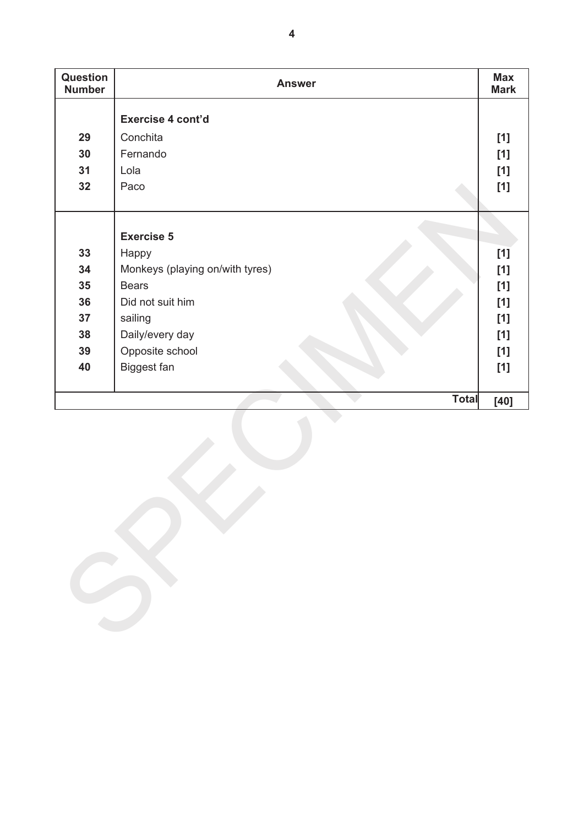| Question<br><b>Number</b> | <b>Answer</b>                   | <b>Max</b><br><b>Mark</b> |
|---------------------------|---------------------------------|---------------------------|
|                           | Exercise 4 cont'd               |                           |
| 29                        | Conchita                        | $[1]$                     |
| 30                        | Fernando                        | $[1]$                     |
| 31                        | Lola                            | $[1]$                     |
| 32                        | Paco                            | $[1]$                     |
|                           | <b>Exercise 5</b>               |                           |
| 33                        | Happy                           | [1]                       |
| 34                        | Monkeys (playing on/with tyres) | $[1]$                     |
| 35                        | <b>Bears</b>                    | $[1]$                     |
| 36                        | Did not suit him                | $[1]$                     |
| 37                        | sailing                         | $[1]$                     |
| 38                        | Daily/every day                 | $[1]$                     |
| 39                        | Opposite school                 | $[1]$                     |
| 40                        | Biggest fan                     | $[1]$                     |
|                           | <b>Total</b>                    | $[40]$                    |
|                           |                                 |                           |